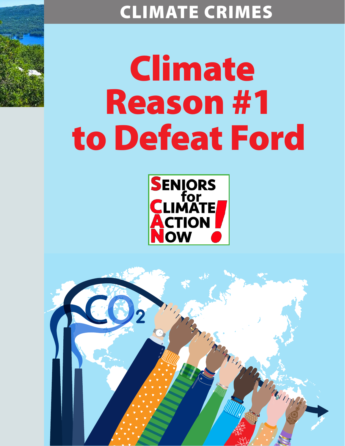## CLIMATE CRIMES

# Climate Reason #1 to Defeat Ford



Marian

Thompson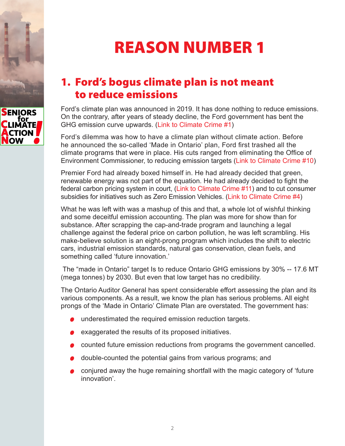

## REASON NUMBER 1

### 1. Ford's bogus climate plan is not meant to reduce emissions

Ford's climate plan was announced in 2019. It has done nothing to reduce emissions. On the contrary, after years of steady decline, the Ford government has bent the GHG emission curve upwards. ([Link to Climate Crime #1](https://seniorsforclimateactionnow.org/wp-content/uploads/2022/04/CC-1-2022-03-29.pdf))

Ford's dilemma was how to have a climate plan without climate action. Before he announced the so-called 'Made in Ontario' plan, Ford first trashed all the climate programs that were in place. His cuts ranged from eliminating the Office of Environment Commissioner, to reducing emission targets ([Link to Climate Crime #10\)](https://seniorsforclimateactionnow.org/wp-content/uploads/2022/03/SCAN-Climate-Crime-10-2022-03-18.pdf)

Premier Ford had already boxed himself in. He had already decided that green, renewable energy was not part of the equation. He had already decided to fight the federal carbon pricing system in court, [\(Link to Climate Crime #11](https://seniorsforclimateactionnow.org/wp-content/uploads/2022/03/SCAN-Climate-Crime-11-2022-03-17.pdf)) and to cut consumer subsidies for initiatives such as Zero Emission Vehicles. [\(Link to Climate Crime #4\)](https://seniorsforclimateactionnow.org/wp-content/uploads/2022/04/CC-4-ELECTRI-VEHICLE.pdf)

What he was left with was a mashup of this and that, a whole lot of wishful thinking and some deceitful emission accounting. The plan was more for show than for substance. After scrapping the cap-and-trade program and launching a legal challenge against the federal price on carbon pollution, he was left scrambling. His make-believe solution is an eight-prong program which includes the shift to electric cars, industrial emission standards, natural gas conservation, clean fuels, and something called 'future innovation.'

 The "made in Ontario" target Is to reduce Ontario GHG emissions by 30% -- 17.6 MT (mega tonnes) by 2030. But even that low target has no credibility.

The Ontario Auditor General has spent considerable effort assessing the plan and its various components. As a result, we know the plan has serious problems. All eight prongs of the 'Made in Ontario' Climate Plan are overstated. The government has:

- underestimated the required emission reduction targets.
- exaggerated the results of its proposed initiatives.
- $\bullet$ counted future emission reductions from programs the government cancelled.
- double-counted the potential gains from various programs; and
- conjured away the huge remaining shortfall with the magic category of 'future innovation'.